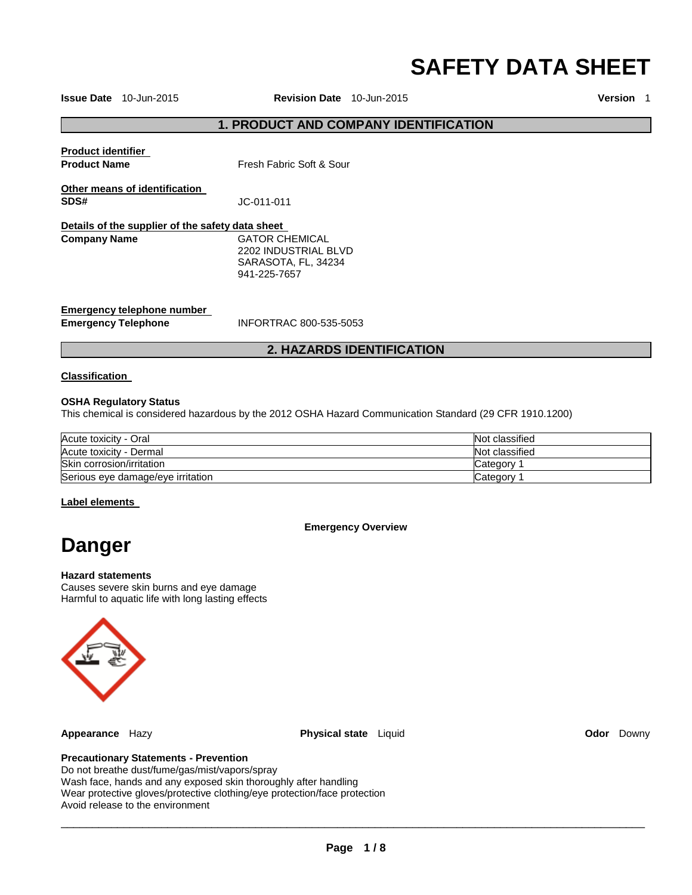# **SAFETY DATA SHEET**

**Issue Date** 10-Jun-2015 **Revision Date** 10-Jun-2015 **Version** 1

# **1. PRODUCT AND COMPANY IDENTIFICATION**

| <b>Product identifier</b><br><b>Product Name</b>         | Fresh Fabric Soft & Sour                                                      |
|----------------------------------------------------------|-------------------------------------------------------------------------------|
| Other means of identification<br>SDS#                    | JC-011-011                                                                    |
| Details of the supplier of the safety data sheet         |                                                                               |
| <b>Company Name</b>                                      | GATOR CHEMICAL<br>2202 INDUSTRIAL BLVD<br>SARASOTA, FL, 34234<br>941-225-7657 |
| Emergency telephone number<br><b>Emergency Telephone</b> | INFORTRAC 800-535-5053                                                        |

# **2. HAZARDS IDENTIFICATION**

### **Classification**

#### **OSHA Regulatory Status**

This chemical is considered hazardous by the 2012 OSHA Hazard Communication Standard (29 CFR 1910.1200)

| Acute toxicity - Oral             | Not classified |
|-----------------------------------|----------------|
| Acute toxicity - Dermal           | Not classified |
| Skin corrosion/irritation         | Category       |
| Serious eye damage/eye irritation | Category       |

#### **Label elements**

**Emergency Overview** 

# **Danger**

#### **Hazard statements**

Causes severe skin burns and eye damage Harmful to aquatic life with long lasting effects



**Appearance** Hazy **Physical state** Liquid **Odor** Downy

# **Precautionary Statements - Prevention**

Do not breathe dust/fume/gas/mist/vapors/spray Wash face, hands and any exposed skin thoroughly after handling Wear protective gloves/protective clothing/eye protection/face protection Avoid release to the environment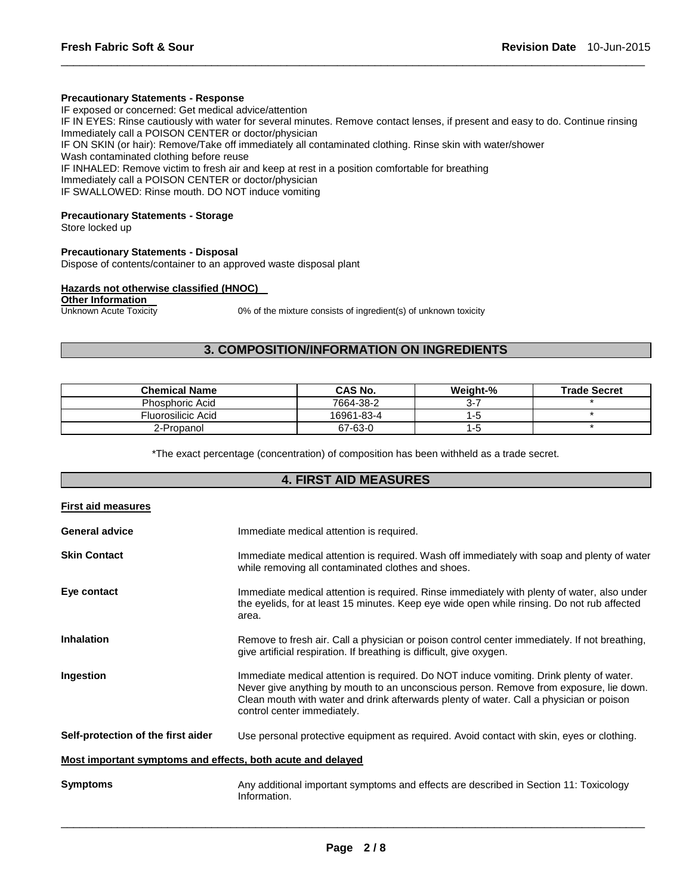#### **Precautionary Statements - Response**

IF exposed or concerned: Get medical advice/attention IF IN EYES: Rinse cautiously with water for several minutes. Remove contact lenses, if present and easy to do. Continue rinsing Immediately call a POISON CENTER or doctor/physician IF ON SKIN (or hair): Remove/Take off immediately all contaminated clothing. Rinse skin with water/shower Wash contaminated clothing before reuse IF INHALED: Remove victim to fresh air and keep at rest in a position comfortable for breathing Immediately call a POISON CENTER or doctor/physician IF SWALLOWED: Rinse mouth. DO NOT induce vomiting

\_\_\_\_\_\_\_\_\_\_\_\_\_\_\_\_\_\_\_\_\_\_\_\_\_\_\_\_\_\_\_\_\_\_\_\_\_\_\_\_\_\_\_\_\_\_\_\_\_\_\_\_\_\_\_\_\_\_\_\_\_\_\_\_\_\_\_\_\_\_\_\_\_\_\_\_\_\_\_\_\_\_\_\_\_\_\_\_\_\_\_\_\_

#### **Precautionary Statements - Storage**

Store locked up

#### **Precautionary Statements - Disposal**

Dispose of contents/container to an approved waste disposal plant

#### **Hazards not otherwise classified (HNOC)**

# **Other Information**<br>Unknown Acute Toxicity

0% of the mixture consists of ingredient(s) of unknown toxicity

# **3. COMPOSITION/INFORMATION ON INGREDIENTS**

| <b>Chemical Name</b> | <b>CAS No.</b> | Weight-% | <b>Trade Secret</b> |
|----------------------|----------------|----------|---------------------|
| Phosphoric Acid      | 7664-38-2      | $3 - 7$  |                     |
| Fluorosilicic Acid   | 16961-83-4     | 1 - C    |                     |
| 2-Propanol           | 67-63-0        | 1 - L    |                     |

\*The exact percentage (concentration) of composition has been withheld as a trade secret.

# **4. FIRST AID MEASURES**

| <b>First aid measures</b>                                   |                                                                                                                                                                                                                                                                                                             |
|-------------------------------------------------------------|-------------------------------------------------------------------------------------------------------------------------------------------------------------------------------------------------------------------------------------------------------------------------------------------------------------|
| <b>General advice</b>                                       | Immediate medical attention is required.                                                                                                                                                                                                                                                                    |
| <b>Skin Contact</b>                                         | Immediate medical attention is required. Wash off immediately with soap and plenty of water<br>while removing all contaminated clothes and shoes.                                                                                                                                                           |
| Eye contact                                                 | Immediate medical attention is required. Rinse immediately with plenty of water, also under<br>the eyelids, for at least 15 minutes. Keep eye wide open while rinsing. Do not rub affected<br>area.                                                                                                         |
| <b>Inhalation</b>                                           | Remove to fresh air. Call a physician or poison control center immediately. If not breathing,<br>give artificial respiration. If breathing is difficult, give oxygen.                                                                                                                                       |
| Ingestion                                                   | Immediate medical attention is required. Do NOT induce vomiting. Drink plenty of water.<br>Never give anything by mouth to an unconscious person. Remove from exposure, lie down.<br>Clean mouth with water and drink afterwards plenty of water. Call a physician or poison<br>control center immediately. |
| Self-protection of the first aider                          | Use personal protective equipment as required. Avoid contact with skin, eyes or clothing.                                                                                                                                                                                                                   |
| Most important symptoms and effects, both acute and delayed |                                                                                                                                                                                                                                                                                                             |
| <b>Symptoms</b>                                             | Any additional important symptoms and effects are described in Section 11: Toxicology<br>Information.                                                                                                                                                                                                       |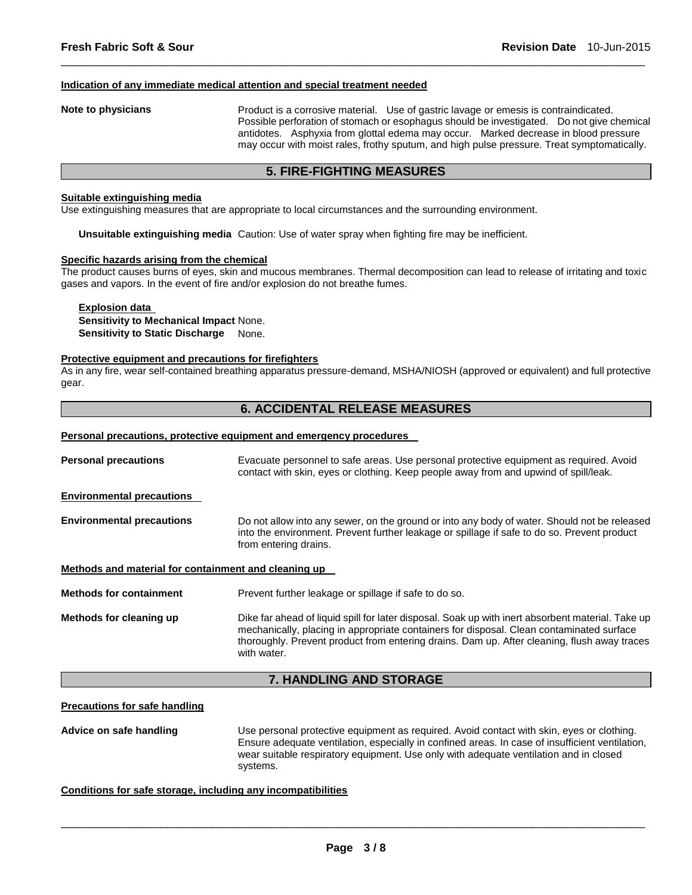#### **Indication of any immediate medical attention and special treatment needed**

**Note to physicians** Product is a corrosive material. Use of gastric lavage or emesis is contraindicated. Possible perforation of stomach or esophagus should be investigated. Do not give chemical antidotes. Asphyxia from glottal edema may occur. Marked decrease in blood pressure may occur with moist rales, frothy sputum, and high pulse pressure. Treat symptomatically.

# **5. FIRE-FIGHTING MEASURES**

\_\_\_\_\_\_\_\_\_\_\_\_\_\_\_\_\_\_\_\_\_\_\_\_\_\_\_\_\_\_\_\_\_\_\_\_\_\_\_\_\_\_\_\_\_\_\_\_\_\_\_\_\_\_\_\_\_\_\_\_\_\_\_\_\_\_\_\_\_\_\_\_\_\_\_\_\_\_\_\_\_\_\_\_\_\_\_\_\_\_\_\_\_

#### **Suitable extinguishing media**

Use extinguishing measures that are appropriate to local circumstances and the surrounding environment.

**Unsuitable extinguishing media** Caution: Use of water spray when fighting fire may be inefficient.

#### **Specific hazards arising from the chemical**

The product causes burns of eyes, skin and mucous membranes. Thermal decomposition can lead to release of irritating and toxic gases and vapors. In the event of fire and/or explosion do not breathe fumes.

### **Explosion data Sensitivity to Mechanical Impact** None. **Sensitivity to Static Discharge** None.

#### **Protective equipment and precautions for firefighters**

As in any fire, wear self-contained breathing apparatus pressure-demand, MSHA/NIOSH (approved or equivalent) and full protective gear.

### **6. ACCIDENTAL RELEASE MEASURES**

#### **Personal precautions, protective equipment and emergency procedures**

| <b>Personal precautions</b>                          | Evacuate personnel to safe areas. Use personal protective equipment as required. Avoid<br>contact with skin, eyes or clothing. Keep people away from and upwind of spill/leak.                                                                                                                              |  |
|------------------------------------------------------|-------------------------------------------------------------------------------------------------------------------------------------------------------------------------------------------------------------------------------------------------------------------------------------------------------------|--|
| <b>Environmental precautions</b>                     |                                                                                                                                                                                                                                                                                                             |  |
| <b>Environmental precautions</b>                     | Do not allow into any sewer, on the ground or into any body of water. Should not be released<br>into the environment. Prevent further leakage or spillage if safe to do so. Prevent product<br>from entering drains.                                                                                        |  |
| Methods and material for containment and cleaning up |                                                                                                                                                                                                                                                                                                             |  |
| <b>Methods for containment</b>                       | Prevent further leakage or spillage if safe to do so.                                                                                                                                                                                                                                                       |  |
| Methods for cleaning up                              | Dike far ahead of liquid spill for later disposal. Soak up with inert absorbent material. Take up<br>mechanically, placing in appropriate containers for disposal. Clean contaminated surface<br>thoroughly. Prevent product from entering drains. Dam up. After cleaning, flush away traces<br>with water. |  |

# **7. HANDLING AND STORAGE**

#### **Precautions for safe handling**

**Advice on safe handling** Use personal protective equipment as required. Avoid contact with skin, eyes or clothing. Ensure adequate ventilation, especially in confined areas. In case of insufficient ventilation, wear suitable respiratory equipment. Use only with adequate ventilation and in closed systems.

#### **Conditions for safe storage, including any incompatibilities**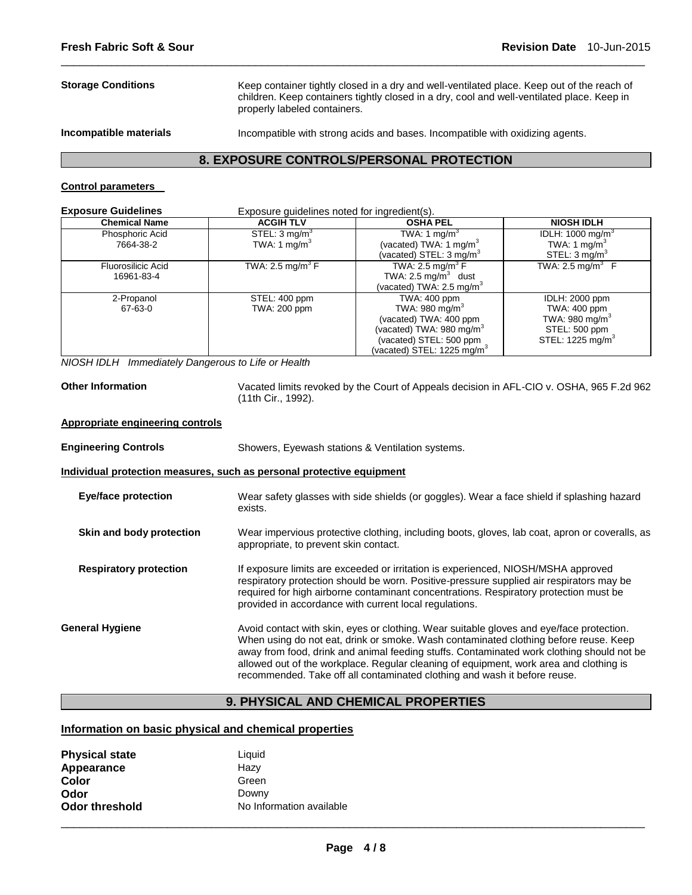**Storage Conditions** Keep container tightly closed in a dry and well-ventilated place. Keep out of the reach of children. Keep containers tightly closed in a dry, cool and well-ventilated place. Keep in properly labeled containers.

**Incompatible materials** Incompatible with strong acids and bases. Incompatible with oxidizing agents.

# **8. EXPOSURE CONTROLS/PERSONAL PROTECTION**

\_\_\_\_\_\_\_\_\_\_\_\_\_\_\_\_\_\_\_\_\_\_\_\_\_\_\_\_\_\_\_\_\_\_\_\_\_\_\_\_\_\_\_\_\_\_\_\_\_\_\_\_\_\_\_\_\_\_\_\_\_\_\_\_\_\_\_\_\_\_\_\_\_\_\_\_\_\_\_\_\_\_\_\_\_\_\_\_\_\_\_\_\_

# **Control parameters**

| <b>Exposure Guidelines</b>              | Exposure guidelines noted for ingredient(s). |                                                                                                                                                             |                                                                                                                      |  |
|-----------------------------------------|----------------------------------------------|-------------------------------------------------------------------------------------------------------------------------------------------------------------|----------------------------------------------------------------------------------------------------------------------|--|
| <b>Chemical Name</b>                    | <b>ACGIH TLV</b>                             | <b>OSHA PEL</b>                                                                                                                                             | <b>NIOSH IDLH</b>                                                                                                    |  |
| Phosphoric Acid<br>7664-38-2            | STEL: $3 \text{ mg/m}^3$<br>TWA: 1 $mg/m3$   | TWA: 1 mg/m <sup>3</sup><br>(vacated) TWA: 1 mg/m $3$<br>(vacated) STEL: 3 mg/m <sup>3</sup>                                                                | IDLH: 1000 mg/m <sup>3</sup><br>TWA: 1 mg/ $m^3$<br>STEL: $3 \text{ mq/m}^3$                                         |  |
| <b>Fluorosilicic Acid</b><br>16961-83-4 | TWA: 2.5 mg/m <sup>3</sup> F                 | TWA: 2.5 mg/m <sup>3</sup> F<br>TWA: $2.5 \text{ mg/m}^3$ dust<br>(vacated) TWA: 2.5 mg/m <sup>3</sup>                                                      | TWA: 2.5 mg/m <sup>3</sup> $\,$ F                                                                                    |  |
| 2-Propanol<br>67-63-0                   | STEL: 400 ppm<br>TWA: 200 ppm                | TWA: 400 ppm<br>TWA: 980 mg/m $3$<br>(vacated) TWA: 400 ppm<br>(vacated) TWA: 980 mg/m $3$<br>(vacated) STEL: 500 ppm<br>(vacated) STEL: 1225 mg/m ${}^{3}$ | <b>IDLH: 2000 ppm</b><br>TWA: 400 ppm<br>TWA: 980 mg/m <sup>3</sup><br>STEL: 500 ppm<br>STEL: 1225 mg/m <sup>3</sup> |  |

*NIOSH IDLH Immediately Dangerous to Life or Health* 

**Other Information** Vacated limits revoked by the Court of Appeals decision in AFL-CIO v. OSHA, 965 F.2d 962 (11th Cir., 1992).

#### **Appropriate engineering controls**

| <b>Engineering Controls</b>   | Showers, Eyewash stations & Ventilation systems.                                                                                                                                                                                                                                                                                                                                                                                                     |  |
|-------------------------------|------------------------------------------------------------------------------------------------------------------------------------------------------------------------------------------------------------------------------------------------------------------------------------------------------------------------------------------------------------------------------------------------------------------------------------------------------|--|
|                               | Individual protection measures, such as personal protective equipment                                                                                                                                                                                                                                                                                                                                                                                |  |
| Eye/face protection           | Wear safety glasses with side shields (or goggles). Wear a face shield if splashing hazard<br>exists.                                                                                                                                                                                                                                                                                                                                                |  |
| Skin and body protection      | Wear impervious protective clothing, including boots, gloves, lab coat, apron or coveralls, as<br>appropriate, to prevent skin contact.                                                                                                                                                                                                                                                                                                              |  |
| <b>Respiratory protection</b> | If exposure limits are exceeded or irritation is experienced, NIOSH/MSHA approved<br>respiratory protection should be worn. Positive-pressure supplied air respirators may be<br>required for high airborne contaminant concentrations. Respiratory protection must be<br>provided in accordance with current local regulations.                                                                                                                     |  |
| <b>General Hygiene</b>        | Avoid contact with skin, eyes or clothing. Wear suitable gloves and eye/face protection.<br>When using do not eat, drink or smoke. Wash contaminated clothing before reuse. Keep<br>away from food, drink and animal feeding stuffs. Contaminated work clothing should not be<br>allowed out of the workplace. Regular cleaning of equipment, work area and clothing is<br>recommended. Take off all contaminated clothing and wash it before reuse. |  |

# **9. PHYSICAL AND CHEMICAL PROPERTIES**

# **Information on basic physical and chemical properties**

| <b>Physical state</b><br>Appearance | Liquid<br>Hazy           |
|-------------------------------------|--------------------------|
| Color                               | Green                    |
| Odor                                | Downy                    |
| Odor threshold                      | No Information available |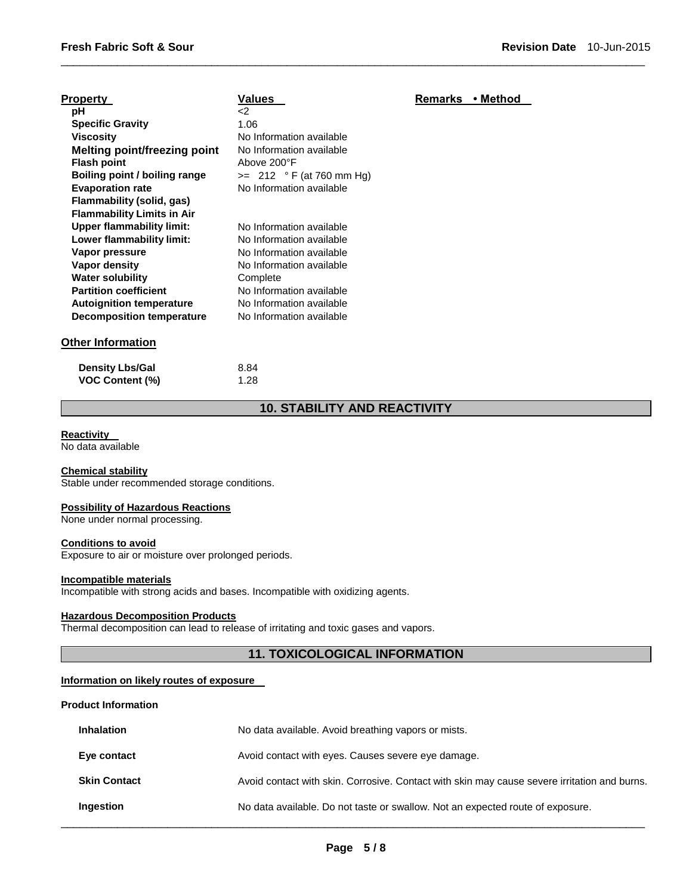| <b>Property</b>                     | Values                     | <b>Remarks</b> | ∙ Method |
|-------------------------------------|----------------------------|----------------|----------|
| рH                                  | -2                         |                |          |
| <b>Specific Gravity</b>             | 1.06                       |                |          |
| Viscosity                           | No Information available   |                |          |
| <b>Melting point/freezing point</b> | No Information available   |                |          |
| <b>Flash point</b>                  | Above 200°F                |                |          |
| Boiling point / boiling range       | $>= 212 °F (at 760 mm Hg)$ |                |          |
| <b>Evaporation rate</b>             | No Information available   |                |          |
| Flammability (solid, gas)           |                            |                |          |
| <b>Flammability Limits in Air</b>   |                            |                |          |
| Upper flammability limit:           | No Information available   |                |          |
| Lower flammability limit:           | No Information available   |                |          |
| Vapor pressure                      | No Information available   |                |          |
| Vapor density                       | No Information available   |                |          |
| <b>Water solubility</b>             | Complete                   |                |          |
| <b>Partition coefficient</b>        | No Information available   |                |          |
| <b>Autoignition temperature</b>     | No Information available   |                |          |
| Decomposition temperature           | No Information available   |                |          |
| <b>Other Information</b>            |                            |                |          |

| <b>Density Lbs/Gal</b> | 8.84 |
|------------------------|------|
| VOC Content (%)        | 1.28 |

# **10. STABILITY AND REACTIVITY**

\_\_\_\_\_\_\_\_\_\_\_\_\_\_\_\_\_\_\_\_\_\_\_\_\_\_\_\_\_\_\_\_\_\_\_\_\_\_\_\_\_\_\_\_\_\_\_\_\_\_\_\_\_\_\_\_\_\_\_\_\_\_\_\_\_\_\_\_\_\_\_\_\_\_\_\_\_\_\_\_\_\_\_\_\_\_\_\_\_\_\_\_\_

#### **Reactivity**

No data available

# **Chemical stability**

Stable under recommended storage conditions.

#### **Possibility of Hazardous Reactions**

None under normal processing.

#### **Conditions to avoid**

Exposure to air or moisture over prolonged periods.

#### **Incompatible materials**

Incompatible with strong acids and bases. Incompatible with oxidizing agents.

# **Hazardous Decomposition Products**

Thermal decomposition can lead to release of irritating and toxic gases and vapors.

# **11. TOXICOLOGICAL INFORMATION**

### **Information on likely routes of exposure**

#### **Product Information**

| <b>Inhalation</b>   | No data available. Avoid breathing vapors or mists.                                          |
|---------------------|----------------------------------------------------------------------------------------------|
| Eye contact         | Avoid contact with eyes. Causes severe eye damage.                                           |
| <b>Skin Contact</b> | Avoid contact with skin. Corrosive. Contact with skin may cause severe irritation and burns. |
| Ingestion           | No data available. Do not taste or swallow. Not an expected route of exposure.               |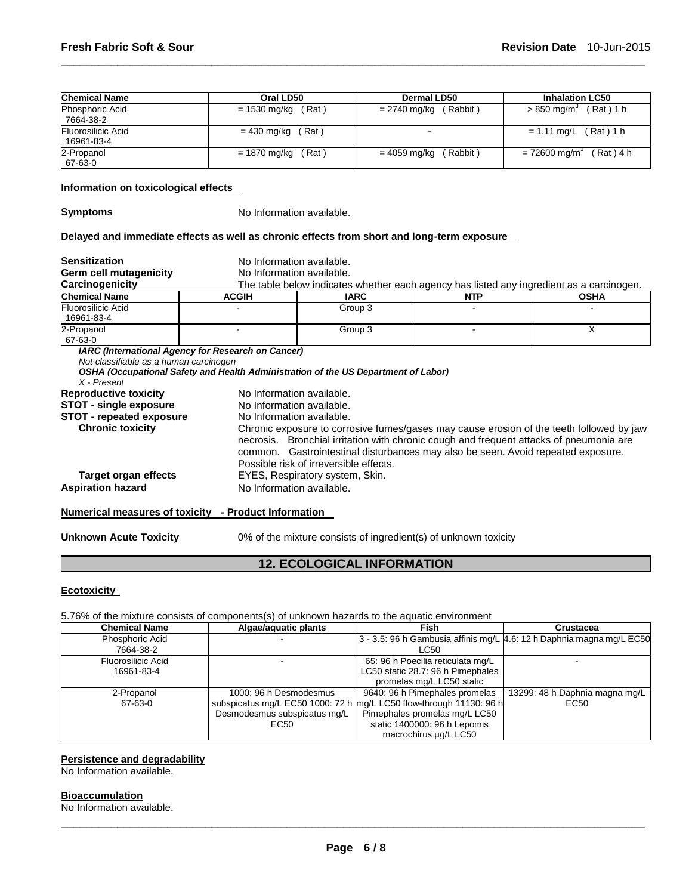| <b>Chemical Name</b>                                                                       | Oral LD50                                                                                                                                       |                                 | <b>Dermal LD50</b> |            | <b>Inhalation LC50</b>                                                                                                                                                                                                                                                                                            |  |  |
|--------------------------------------------------------------------------------------------|-------------------------------------------------------------------------------------------------------------------------------------------------|---------------------------------|--------------------|------------|-------------------------------------------------------------------------------------------------------------------------------------------------------------------------------------------------------------------------------------------------------------------------------------------------------------------|--|--|
| Phosphoric Acid<br>7664-38-2                                                               | $= 1530$ mg/kg                                                                                                                                  | (Rat)                           | = 2740 mg/kg       | (Rabbit)   | $> 850$ mg/m <sup>3</sup> (Rat) 1 h                                                                                                                                                                                                                                                                               |  |  |
| Fluorosilicic Acid<br>16961-83-4                                                           | $= 430$ mg/kg                                                                                                                                   | (Rat)                           |                    |            | $= 1.11$ mg/L (Rat) 1 h                                                                                                                                                                                                                                                                                           |  |  |
| 2-Propanol<br>67-63-0                                                                      | $= 1870$ mg/kg                                                                                                                                  | (Rat)                           | $= 4059$ mg/kg     | (Rabbit)   | $= 72600$ mg/m <sup>3</sup> (Rat) 4 h                                                                                                                                                                                                                                                                             |  |  |
| Information on toxicological effects                                                       |                                                                                                                                                 |                                 |                    |            |                                                                                                                                                                                                                                                                                                                   |  |  |
| <b>Symptoms</b>                                                                            | No Information available.                                                                                                                       |                                 |                    |            |                                                                                                                                                                                                                                                                                                                   |  |  |
| Delayed and immediate effects as well as chronic effects from short and long-term exposure |                                                                                                                                                 |                                 |                    |            |                                                                                                                                                                                                                                                                                                                   |  |  |
| <b>Sensitization</b>                                                                       | No Information available.                                                                                                                       |                                 |                    |            |                                                                                                                                                                                                                                                                                                                   |  |  |
| <b>Germ cell mutagenicity</b>                                                              | No Information available.                                                                                                                       |                                 |                    |            |                                                                                                                                                                                                                                                                                                                   |  |  |
| Carcinogenicity                                                                            |                                                                                                                                                 |                                 |                    |            | The table below indicates whether each agency has listed any ingredient as a carcinogen.                                                                                                                                                                                                                          |  |  |
| <b>Chemical Name</b>                                                                       | <b>ACGIH</b>                                                                                                                                    | <b>IARC</b>                     |                    | <b>NTP</b> | <b>OSHA</b>                                                                                                                                                                                                                                                                                                       |  |  |
| Fluorosilicic Acid<br>16961-83-4                                                           |                                                                                                                                                 | Group 3                         |                    |            |                                                                                                                                                                                                                                                                                                                   |  |  |
| 2-Propanol<br>67-63-0                                                                      |                                                                                                                                                 | Group 3                         |                    |            | X                                                                                                                                                                                                                                                                                                                 |  |  |
| Not classifiable as a human carcinogen<br>$X$ - Present                                    | <b>IARC (International Agency for Research on Cancer)</b><br>OSHA (Occupational Safety and Health Administration of the US Department of Labor) |                                 |                    |            |                                                                                                                                                                                                                                                                                                                   |  |  |
| <b>Reproductive toxicity</b>                                                               | No Information available.                                                                                                                       |                                 |                    |            |                                                                                                                                                                                                                                                                                                                   |  |  |
| <b>STOT - single exposure</b>                                                              |                                                                                                                                                 | No Information available.       |                    |            |                                                                                                                                                                                                                                                                                                                   |  |  |
| <b>STOT - repeated exposure</b>                                                            |                                                                                                                                                 | No Information available.       |                    |            |                                                                                                                                                                                                                                                                                                                   |  |  |
|                                                                                            |                                                                                                                                                 |                                 |                    |            | Chronic exposure to corrosive fumes/gases may cause erosion of the teeth followed by jaw<br>necrosis. Bronchial irritation with chronic cough and frequent attacks of pneumonia are<br>common. Gastrointestinal disturbances may also be seen. Avoid repeated exposure.<br>Possible risk of irreversible effects. |  |  |
| <b>Chronic toxicity</b>                                                                    |                                                                                                                                                 |                                 |                    |            |                                                                                                                                                                                                                                                                                                                   |  |  |
| Target organ effects<br><b>Aspiration hazard</b>                                           | No Information available.                                                                                                                       | EYES, Respiratory system, Skin. |                    |            |                                                                                                                                                                                                                                                                                                                   |  |  |

\_\_\_\_\_\_\_\_\_\_\_\_\_\_\_\_\_\_\_\_\_\_\_\_\_\_\_\_\_\_\_\_\_\_\_\_\_\_\_\_\_\_\_\_\_\_\_\_\_\_\_\_\_\_\_\_\_\_\_\_\_\_\_\_\_\_\_\_\_\_\_\_\_\_\_\_\_\_\_\_\_\_\_\_\_\_\_\_\_\_\_\_\_

# **Numerical measures of toxicity - Product Information**

**Unknown Acute Toxicity** 0% of the mixture consists of ingredient(s) of unknown toxicity

# **12. ECOLOGICAL INFORMATION**

# **Ecotoxicity**

# 5.76% of the mixture consists of components(s) of unknown hazards to the aquatic environment

| <b>Chemical Name</b> | Algae/aquatic plants         | Fish                                                                | Crustacea                                                               |
|----------------------|------------------------------|---------------------------------------------------------------------|-------------------------------------------------------------------------|
| Phosphoric Acid      |                              |                                                                     | 3 - 3.5: 96 h Gambusia affinis mg/L   4.6: 12 h Daphnia magna mg/L EC50 |
| 7664-38-2            |                              | LC50                                                                |                                                                         |
| Fluorosilicic Acid   |                              | 65: 96 h Poecilia reticulata mg/L                                   |                                                                         |
| 16961-83-4           |                              | LC50 static 28.7: 96 h Pimephales                                   |                                                                         |
|                      |                              | promelas mg/L LC50 static                                           |                                                                         |
| 2-Propanol           | 1000: 96 h Desmodesmus       | 9640: 96 h Pimephales promelas                                      | 13299: 48 h Daphnia magna mg/L                                          |
| 67-63-0              |                              | subspicatus mg/L EC50 1000: 72 h mg/L LC50 flow-through 11130: 96 h | EC50                                                                    |
|                      | Desmodesmus subspicatus mg/L | Pimephales promelas mg/L LC50                                       |                                                                         |
|                      | EC50                         | static 1400000: 96 h Lepomis                                        |                                                                         |
|                      |                              | macrochirus µg/L LC50                                               |                                                                         |

# **Persistence and degradability**

No Information available.

### **Bioaccumulation**

No Information available.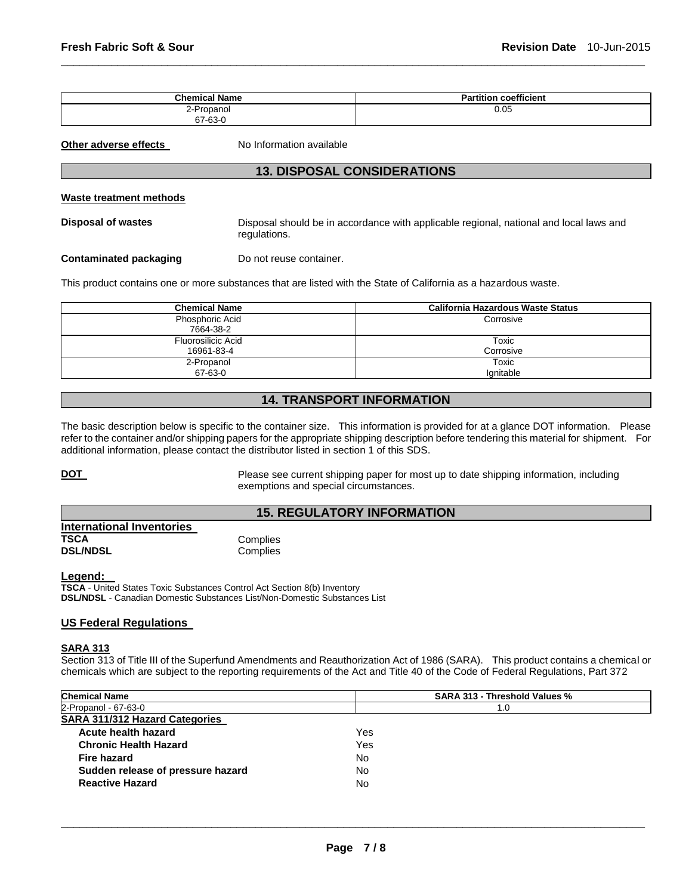| <b>Chemical Name</b> | $-0.01$<br>Partition<br>coefficient |
|----------------------|-------------------------------------|
| 2-Propanol           | 0.05                                |
| 67-63-C              |                                     |

\_\_\_\_\_\_\_\_\_\_\_\_\_\_\_\_\_\_\_\_\_\_\_\_\_\_\_\_\_\_\_\_\_\_\_\_\_\_\_\_\_\_\_\_\_\_\_\_\_\_\_\_\_\_\_\_\_\_\_\_\_\_\_\_\_\_\_\_\_\_\_\_\_\_\_\_\_\_\_\_\_\_\_\_\_\_\_\_\_\_\_\_\_

**Other adverse effects** No Information available

# **13. DISPOSAL CONSIDERATIONS**

#### **Waste treatment methods**

**Disposal of wastes** Disposal should be in accordance with applicable regional, national and local laws and regulations.

**Contaminated packaging Theory Do not reuse container.** 

This product contains one or more substances that are listed with the State of California as a hazardous waste.

| <b>Chemical Name</b>         | <b>California Hazardous Waste Status</b> |  |
|------------------------------|------------------------------------------|--|
| Phosphoric Acid<br>7664-38-2 | Corrosive                                |  |
| Fluorosilicic Acid           | Toxic                                    |  |
| 16961-83-4<br>2-Propanol     | Corrosive<br>Toxic                       |  |
| 67-63-0                      | lgnitable                                |  |

# **14. TRANSPORT INFORMATION**

The basic description below is specific to the container size. This information is provided for at a glance DOT information. Please refer to the container and/or shipping papers for the appropriate shipping description before tendering this material for shipment. For additional information, please contact the distributor listed in section 1 of this SDS.

**DOT** Please see current shipping paper for most up to date shipping information, including exemptions and special circumstances.

# **15. REGULATORY INFORMATION**

| <b>International Inventories</b> |          |
|----------------------------------|----------|
| TSCA                             | Complies |
| <b>DSL/NDSL</b>                  | Complies |

#### **Legend:**

**TSCA** - United States Toxic Substances Control Act Section 8(b) Inventory **DSL/NDSL** - Canadian Domestic Substances List/Non-Domestic Substances List

# **US Federal Regulations**

#### **SARA 313**

Section 313 of Title III of the Superfund Amendments and Reauthorization Act of 1986 (SARA). This product contains a chemical or chemicals which are subject to the reporting requirements of the Act and Title 40 of the Code of Federal Regulations, Part 372

| <b>Chemical Name</b>                  | SARA 313 - Threshold Values % |  |  |
|---------------------------------------|-------------------------------|--|--|
| 2-Propanol - 67-63-0                  | 1.0                           |  |  |
| <b>SARA 311/312 Hazard Categories</b> |                               |  |  |
| Acute health hazard                   | Yes                           |  |  |
| <b>Chronic Health Hazard</b>          | Yes                           |  |  |
| Fire hazard                           | No.                           |  |  |
| Sudden release of pressure hazard     | No                            |  |  |
| <b>Reactive Hazard</b>                | No                            |  |  |